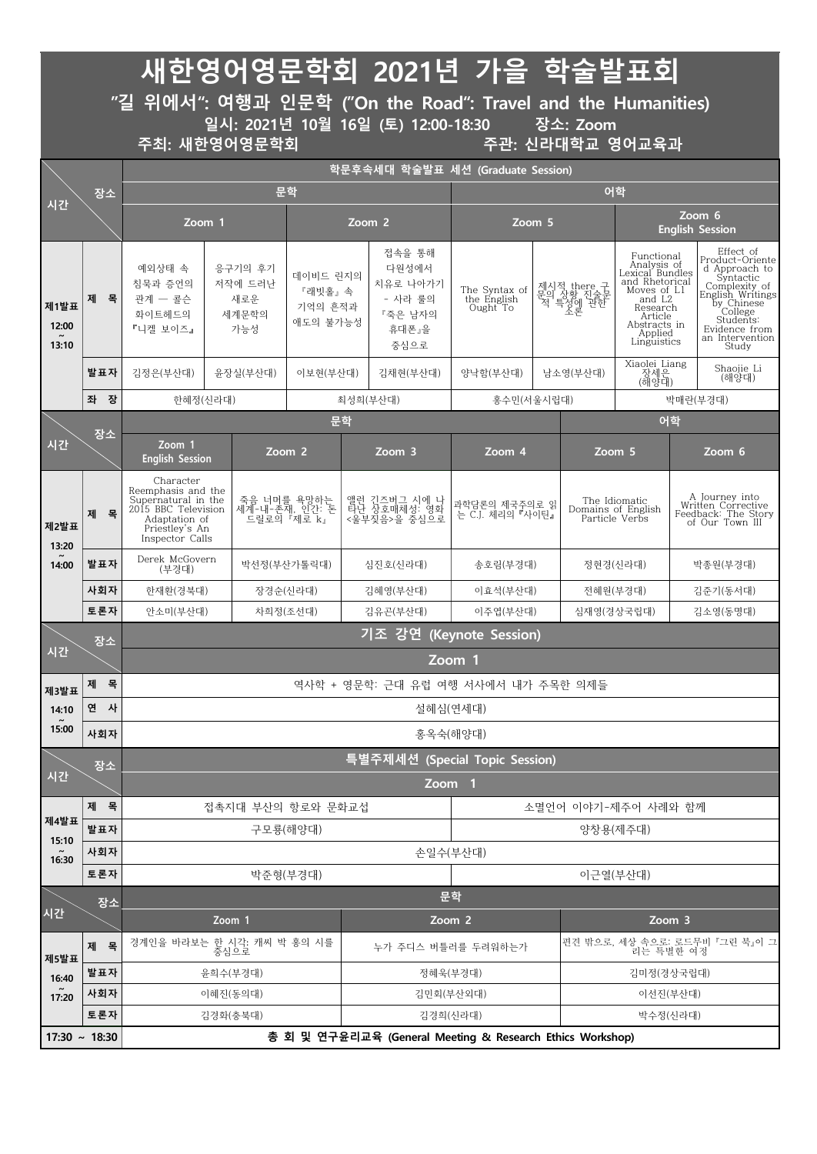|                        |        |                                                                                                                                     |                                  |                                              |                                           |              | 새한영어영문학회 2021년 가을 학술발표회                                            |                                          |            |                                                       |                                                                                                                                                              |                                  |                                                                                                                                                                                    |  |
|------------------------|--------|-------------------------------------------------------------------------------------------------------------------------------------|----------------------------------|----------------------------------------------|-------------------------------------------|--------------|--------------------------------------------------------------------|------------------------------------------|------------|-------------------------------------------------------|--------------------------------------------------------------------------------------------------------------------------------------------------------------|----------------------------------|------------------------------------------------------------------------------------------------------------------------------------------------------------------------------------|--|
|                        |        | "길 위에서": 여행과 인문학 ("On the Road": Travel and the Humanities)                                                                         |                                  |                                              |                                           |              | 일시: 2021년 10월 16일 (토) 12:00-18:30                                  |                                          |            | 장소: Zoom                                              |                                                                                                                                                              |                                  |                                                                                                                                                                                    |  |
|                        |        | 주최: 새한영어영문학회                                                                                                                        |                                  |                                              |                                           |              |                                                                    |                                          |            | 주관: 신라대학교 영어교육과                                       |                                                                                                                                                              |                                  |                                                                                                                                                                                    |  |
|                        |        |                                                                                                                                     |                                  |                                              |                                           |              | 학문후속세대 학술발표 세션 (Graduate Session)                                  |                                          |            |                                                       |                                                                                                                                                              |                                  |                                                                                                                                                                                    |  |
| 시간                     | 장소     |                                                                                                                                     |                                  | 문학                                           |                                           |              |                                                                    |                                          |            | 어학                                                    |                                                                                                                                                              |                                  |                                                                                                                                                                                    |  |
|                        |        | Zoom 1                                                                                                                              |                                  |                                              |                                           |              | Zoom <sub>2</sub>                                                  | Zoom 5                                   |            |                                                       |                                                                                                                                                              | Zoom 6<br><b>English Session</b> |                                                                                                                                                                                    |  |
| 제1발표<br>12:00<br>13:10 | 목<br>제 | 예외상태 속<br>응구기의 후기<br>침묵과 증언의<br>저작에 드러난<br>관계 - 콜슨<br>새로운<br>세계문학의<br>화이트헤드의<br>『니켈 보이즈』<br>가능성                                     |                                  |                                              | 데이비드 린지의<br>『래빗홀』속<br>기억의 흔적과<br>애도의 불가능성 |              | 접속을 통해<br>다원성에서<br>치유로 나아가기<br>- 사라 룰의<br>『죽은 남자의<br>휴대폰』을<br>중심으로 | The Syntax of<br>the English<br>Ought To |            | 제시적 there 구<br>문의 상황 진술문<br>적 특성에 관한<br>- 소론          | Functional<br>Analysis of<br>Lexical Bundles<br>and Rhetorical<br>Moves of $LI$<br>and $L2$<br>Research<br>Article<br>Abstracts in<br>Applied<br>Linguistics |                                  | Effect of<br>Product-Oriente<br>d Approach to<br>Syntactic<br>Complexity of<br>English Writings<br>by Chinese<br>College<br>Students:<br>Evidence from<br>an Intervention<br>Study |  |
|                        | 발표자    | 김정은(부산대)                                                                                                                            |                                  | 윤장실(부산대)                                     | 이보현(부산대)                                  |              | 김채현(부산대)                                                           | 양낙함(부산대)                                 |            | Xiaolei Liang<br>- 장세은<br>(해양대)<br>남소영(부산대)           |                                                                                                                                                              | Shaojie Li<br>(해양대)              |                                                                                                                                                                                    |  |
|                        | 좌 장    | 한혜정(신라대)                                                                                                                            |                                  |                                              |                                           |              | 최성희(부산대)                                                           | 홍수민(서울시립대)                               |            |                                                       |                                                                                                                                                              |                                  | 박매란(부경대)                                                                                                                                                                           |  |
| 시간                     | 장소     | Zoom 1                                                                                                                              | Zoom 2<br><b>English Session</b> |                                              |                                           | 문학<br>Zoom 3 |                                                                    | Zoom 4                                   |            | Zoom 5                                                |                                                                                                                                                              | 어학<br>Zoom 6                     |                                                                                                                                                                                    |  |
| 제2발표<br>13:20          | 목<br>제 | Character<br>Reemphasis and the<br>Supernatural in the<br>2015 BBC Television<br>Adaptation of<br>Priestley's An<br>Inspector Calls |                                  | 죽음 너머를 욕망하는<br>세계-내-존재, 인간: 돈<br>드릴로의 『제로 k』 |                                           |              | 앨런 긴즈버그 시에 나<br>타난 상호매체성: 영화<br><울부짖음>을 중심으로                       | 과학담론의 제국주의로 읽<br>는 C.J. 체리의 『사이틴』        |            | The Idiomatic<br>Domains of English<br>Particle Verbs |                                                                                                                                                              |                                  | A Journey into<br>Written Corrective<br>Feedback: The Story<br>of Our Town III                                                                                                     |  |
| 14:00                  | 발표자    | Derek McGovern<br>(부경대)                                                                                                             |                                  |                                              | 박선정(부산가톨릭대)                               |              | 심진호(신라대)                                                           | 송호림(부경대)                                 |            | 정현경(신라대)                                              |                                                                                                                                                              | 박종원(부경대)                         |                                                                                                                                                                                    |  |
|                        | 사회자    | 한재환(경북대)                                                                                                                            |                                  |                                              | 장경순(신라대)                                  |              | 김혜영(부산대)                                                           | 이효석(부산대)                                 |            | 전혜원(부경대)                                              |                                                                                                                                                              | 김준기(동서대)                         |                                                                                                                                                                                    |  |
| 시간                     | 토론자    | 안소미(부산대)<br>차희정(조선대)                                                                                                                |                                  |                                              | 김유곤(부산대)                                  |              | 이주엽(부산대)                                                           |                                          | 심재영(경상국립대) |                                                       |                                                                                                                                                              | 김소영(동명대)                         |                                                                                                                                                                                    |  |
|                        | 장소     | 기조 강연<br>(Keynote Session)                                                                                                          |                                  |                                              |                                           |              |                                                                    |                                          |            |                                                       |                                                                                                                                                              |                                  |                                                                                                                                                                                    |  |
|                        |        | Zoom 1                                                                                                                              |                                  |                                              |                                           |              |                                                                    |                                          |            |                                                       |                                                                                                                                                              |                                  |                                                                                                                                                                                    |  |
| 제3발표                   | 목<br>제 |                                                                                                                                     |                                  |                                              |                                           |              | 역사학 + 영문학: 근대 유럽 여행 서사에서 내가 주목한 의제들                                |                                          |            |                                                       |                                                                                                                                                              |                                  |                                                                                                                                                                                    |  |
| 14:10<br>15:00         | 연 사    |                                                                                                                                     |                                  |                                              |                                           |              |                                                                    | 설혜심(연세대)                                 |            |                                                       |                                                                                                                                                              |                                  |                                                                                                                                                                                    |  |
|                        | 사회자    | 홍옥숙(해양대)                                                                                                                            |                                  |                                              |                                           |              |                                                                    |                                          |            |                                                       |                                                                                                                                                              |                                  |                                                                                                                                                                                    |  |
| 시간                     | 장소     | <u>특별주제세션 (Special Topic Session)</u>                                                                                               |                                  |                                              |                                           |              |                                                                    |                                          |            |                                                       |                                                                                                                                                              |                                  |                                                                                                                                                                                    |  |
|                        | 제 목    | Zoom 1<br>접촉지대 부산의 항로와 문화교섭<br>소멸언어 이야기-제주어 사례와 함께                                                                                  |                                  |                                              |                                           |              |                                                                    |                                          |            |                                                       |                                                                                                                                                              |                                  |                                                                                                                                                                                    |  |
| 제4발표                   | 발표자    | 구모룡(해양대)                                                                                                                            |                                  |                                              |                                           |              |                                                                    |                                          |            |                                                       | 양창용(제주대)                                                                                                                                                     |                                  |                                                                                                                                                                                    |  |
| 15:10                  | 사회자    |                                                                                                                                     |                                  |                                              |                                           |              | 손일수(부산대)                                                           |                                          |            |                                                       |                                                                                                                                                              |                                  |                                                                                                                                                                                    |  |
| 16:30                  | 토론자    | 박준형(부경대)                                                                                                                            |                                  |                                              |                                           |              | 이근열(부산대)                                                           |                                          |            |                                                       |                                                                                                                                                              |                                  |                                                                                                                                                                                    |  |
|                        | 장소     |                                                                                                                                     | 문학                               |                                              |                                           |              |                                                                    |                                          |            |                                                       |                                                                                                                                                              |                                  |                                                                                                                                                                                    |  |
| 시간                     |        | Zoom 1                                                                                                                              |                                  |                                              |                                           |              |                                                                    | Zoom 2                                   |            | Zoom 3                                                |                                                                                                                                                              |                                  |                                                                                                                                                                                    |  |
| 제5발표                   | 제 목    | 경계인을 바라보는<br>한 시각: 캐씨 박 홍의 시를<br>중심으로                                                                                               |                                  |                                              |                                           |              | 누가 주디스 버틀러를 두려워하는가                                                 |                                          |            | 편견 밖으로, 세상 속으로: 로드무비 『그린 북』이 그<br>리는 특별한 여정           |                                                                                                                                                              |                                  |                                                                                                                                                                                    |  |
| 16:40                  | 발표자    | 윤희수(부경대)                                                                                                                            |                                  |                                              |                                           |              | 정혜욱(부경대)                                                           |                                          |            | 김미정(경상국립대)                                            |                                                                                                                                                              |                                  |                                                                                                                                                                                    |  |
| 17:20                  | 사회자    |                                                                                                                                     | 이혜진(동의대)                         |                                              |                                           |              | 김민회(부산외대)                                                          |                                          |            | 이선진(부산대)                                              |                                                                                                                                                              |                                  |                                                                                                                                                                                    |  |
|                        | 토론자    |                                                                                                                                     |                                  | 김경화(충북대)                                     |                                           |              |                                                                    | 김경희(신라대)                                 |            |                                                       | 박수정(신라대)                                                                                                                                                     |                                  |                                                                                                                                                                                    |  |
| $17:30 - 18:30$        |        |                                                                                                                                     |                                  |                                              |                                           |              | 총 회 및 연구윤리교육 (General Meeting & Research Ethics Workshop)          |                                          |            |                                                       |                                                                                                                                                              |                                  |                                                                                                                                                                                    |  |